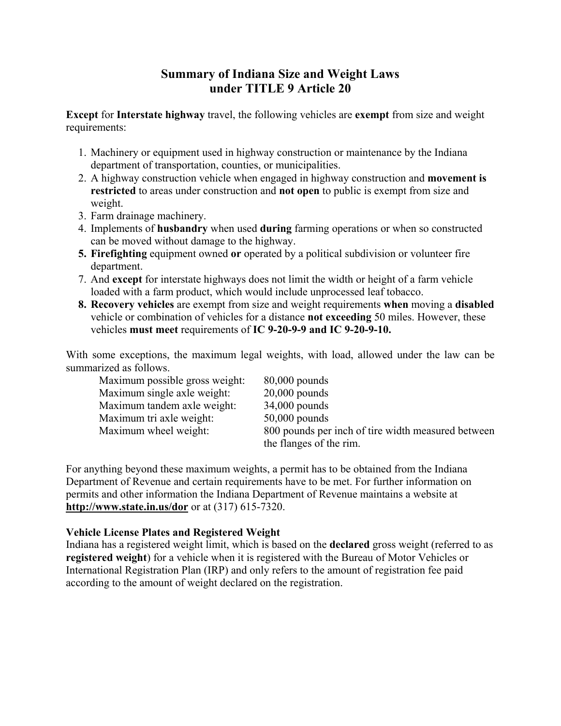# **Summary of Indiana Size and Weight Laws under TITLE 9 Article 20**

**Except** for **Interstate highway** travel, the following vehicles are **exempt** from size and weight requirements:

- 1. Machinery or equipment used in highway construction or maintenance by the Indiana department of transportation, counties, or municipalities.
- 2. A highway construction vehicle when engaged in highway construction and **movement is restricted** to areas under construction and **not open** to public is exempt from size and weight.
- 3. Farm drainage machinery.
- 4. Implements of **husbandry** when used **during** farming operations or when so constructed can be moved without damage to the highway.
- **5. Firefighting** equipment owned **or** operated by a political subdivision or volunteer fire department.
- 7. And **except** for interstate highways does not limit the width or height of a farm vehicle loaded with a farm product, which would include unprocessed leaf tobacco.
- **8. Recovery vehicles** are exempt from size and weight requirements **when** moving a **disabled** vehicle or combination of vehicles for a distance **not exceeding** 50 miles. However, these vehicles **must meet** requirements of **IC 9-20-9-9 and IC 9-20-9-10.**

With some exceptions, the maximum legal weights, with load, allowed under the law can be summarized as follows.

| Maximum possible gross weight: | $80,000$ pounds                                    |
|--------------------------------|----------------------------------------------------|
| Maximum single axle weight:    | $20,000$ pounds                                    |
| Maximum tandem axle weight:    | $34,000$ pounds                                    |
| Maximum tri axle weight:       | $50,000$ pounds                                    |
| Maximum wheel weight:          | 800 pounds per inch of tire width measured between |
|                                | the flanges of the rim.                            |

For anything beyond these maximum weights, a permit has to be obtained from the Indiana Department of Revenue and certain requirements have to be met. For further information on permits and other information the Indiana Department of Revenue maintains a website at **http://www.state.in.us/dor** or at (317) 615-7320.

## **Vehicle License Plates and Registered Weight**

Indiana has a registered weight limit, which is based on the **declared** gross weight (referred to as **registered weight**) for a vehicle when it is registered with the Bureau of Motor Vehicles or International Registration Plan (IRP) and only refers to the amount of registration fee paid according to the amount of weight declared on the registration.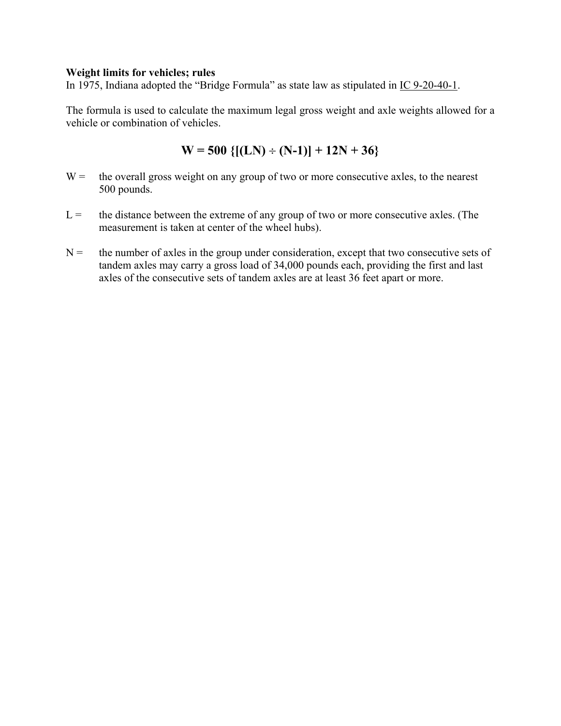#### **Weight limits for vehicles; rules**

In 1975, Indiana adopted the "Bridge Formula" as state law as stipulated in IC 9-20-40-1.

The formula is used to calculate the maximum legal gross weight and axle weights allowed for a vehicle or combination of vehicles.

$$
W = 500 \{[(LN) \div (N-1)] + 12N + 36\}
$$

- $W =$  the overall gross weight on any group of two or more consecutive axles, to the nearest 500 pounds.
- $L =$  the distance between the extreme of any group of two or more consecutive axles. (The measurement is taken at center of the wheel hubs).
- $N =$  the number of axles in the group under consideration, except that two consecutive sets of tandem axles may carry a gross load of 34,000 pounds each, providing the first and last axles of the consecutive sets of tandem axles are at least 36 feet apart or more.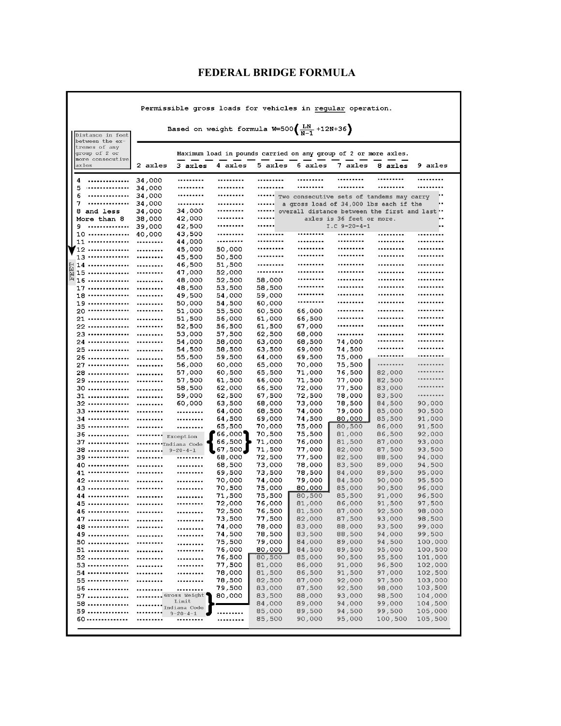## **FEDERAL BRIDGE FORMULA**

| Permissible gross loads for vehicles in regular operation. |                                                                                                               |                                                                 |                            |                  |                  |                  |                           |                                               |                    |  |
|------------------------------------------------------------|---------------------------------------------------------------------------------------------------------------|-----------------------------------------------------------------|----------------------------|------------------|------------------|------------------|---------------------------|-----------------------------------------------|--------------------|--|
|                                                            | Based on weight formula W=500 $\left(\frac{LN}{N-1} + 12N + 36\right)$<br>Distance in feet<br>between the ex- |                                                                 |                            |                  |                  |                  |                           |                                               |                    |  |
|                                                            | tremes of any<br>group of 2 or                                                                                | Maximum load in pounds carried on any group of 2 or more axles. |                            |                  |                  |                  |                           |                                               |                    |  |
| axles                                                      | more consecutive                                                                                              | 2 axles                                                         | 3 axles                    | 4 axles          | 5 axles          | 6 axles          | 7 axles                   | 8 axles                                       | 9 axles            |  |
| 4<br>5                                                     | <br>                                                                                                          | 34,000<br>34,000                                                | <br>                       | <br>             | <br>             | <br>             | <br>                      | <br>                                          | <br>               |  |
| 6                                                          |                                                                                                               | 34,000                                                          |                            |                  |                  |                  |                           | Two consecutive sets of tandems may carry     |                    |  |
| 7                                                          |                                                                                                               | 34,000                                                          |                            | <br>             |                  |                  |                           | a gross load of 34,000 lbs each if the        |                    |  |
|                                                            | 8 and less<br>More than 8                                                                                     | 34,000<br>38,000                                                | 34,000<br>42,000           |                  |                  |                  | axles is 36 feet or more. | overall distance between the first and last " |                    |  |
| 9.                                                         |                                                                                                               | 39,000                                                          | 42,500                     |                  |                  |                  | $I.C. 9-20-4-1$           |                                               |                    |  |
|                                                            | 10                                                                                                            | 40,000                                                          | 43,500                     |                  |                  |                  |                           |                                               |                    |  |
|                                                            | $11$                                                                                                          |                                                                 | 44,000                     |                  |                  |                  |                           |                                               |                    |  |
|                                                            | 12                                                                                                            |                                                                 | 45,000                     | 50,000           | <br>             | <br>             | <br>                      | <br>                                          |                    |  |
|                                                            | 13<br>$14$                                                                                                    |                                                                 | 45,500                     | 50,500           |                  |                  |                           |                                               |                    |  |
|                                                            | <b>菌15 ……………</b><br>国15 ……………                                                                                 | <br>                                                            | 46,500<br>47,000           | 51,500<br>52,000 |                  |                  |                           |                                               |                    |  |
|                                                            |                                                                                                               |                                                                 | 48,000                     | 52,500           | 58,000           |                  |                           |                                               |                    |  |
|                                                            | $17 \ldots \ldots \ldots$                                                                                     |                                                                 | 48,500                     | 53,500           | 58,500           |                  |                           |                                               |                    |  |
|                                                            | 18                                                                                                            |                                                                 | 49,500                     | 54,000           | 59,000           |                  |                           |                                               |                    |  |
|                                                            | 19                                                                                                            |                                                                 | 50,000                     | 54,500           | 60,000           |                  | <br>                      | <br>                                          | <br>               |  |
|                                                            | 20<br>21                                                                                                      | <br>                                                            | 51,000<br>51,500           | 55,500<br>56,000 | 60,500<br>61,000 | 66,000<br>66,500 |                           |                                               |                    |  |
|                                                            | 22                                                                                                            |                                                                 | 52,500                     | 56,500           | 61,500           | 67,000           |                           |                                               |                    |  |
|                                                            | 23                                                                                                            |                                                                 | 53,000                     | 57,500           | 62,500           | 68,000           |                           |                                               |                    |  |
|                                                            | 24                                                                                                            |                                                                 | 54,000                     | 58,000           | 63,000           | 68,500           | 74,000                    |                                               |                    |  |
|                                                            | 25                                                                                                            |                                                                 | 54,500                     | 58,500           | 63,500           | 69,000           | 74,500                    |                                               |                    |  |
|                                                            | 26                                                                                                            |                                                                 | 55,500                     | 59,500           | 64,000           | 69,500           | 75,000                    |                                               |                    |  |
|                                                            | 27                                                                                                            |                                                                 | 56,000                     | 60,000           | 65,000           | 70,000           | 75,500                    |                                               | <br>               |  |
|                                                            | 28<br>29                                                                                                      |                                                                 | 57,000                     | 60,500           | 65,500           | 71,000           | 76,500                    | 82,000<br>82,500                              |                    |  |
|                                                            | 30                                                                                                            | <br>                                                            | 57,500<br>58,500           | 61,500<br>62,000 | 66,000<br>66,500 | 71,500<br>72,000 | 77,000<br>77,500          | 83,000                                        |                    |  |
|                                                            | 31                                                                                                            |                                                                 | 59,000                     | 62,500           | 67,500           | 72,500           | 78,000                    | 83,500                                        |                    |  |
|                                                            | 32                                                                                                            |                                                                 | 60,000                     | 63,500           | 68,000           | 73,000           | 78,500                    | 84,500                                        | 90,000             |  |
|                                                            | 33                                                                                                            |                                                                 |                            | 64,000           | 68,500           | 74,000           | 79,000                    | 85,000                                        | 90,500             |  |
|                                                            | 34                                                                                                            |                                                                 |                            | 64,500           | 69,000           | 74,500           | 80,000                    | 85,500                                        | 91,000             |  |
|                                                            | 35                                                                                                            |                                                                 |                            | 65,500           | 70,000           | 75,000           | 80,500                    | 86,000                                        | 91,500             |  |
|                                                            | 36<br>37                                                                                                      |                                                                 | Exception                  | 66,000<br>66,500 | 70,500<br>71,000 | 75,500<br>76,000 | 81,000<br>81,500          | 86,500<br>87,000                              | 92,000<br>93,000   |  |
|                                                            | 38                                                                                                            |                                                                 | Indiana Code<br>$9-20-4-1$ | $\sqrt{67,500}$  | 71,500           | 77,000           | 82,000                    | 87,500                                        | 93,500             |  |
|                                                            | 39                                                                                                            |                                                                 |                            | 68,000           | 72,500           | 77,500           | 82,500                    | 88,500                                        | 94,000             |  |
|                                                            | 40                                                                                                            |                                                                 |                            | 68,500           | 73,000           | 78,000           | 83,500                    | 89,000                                        | 94,500             |  |
|                                                            | 41                                                                                                            |                                                                 |                            | 69,500           | 73,500           | 78,500           | 84,000                    | 89,500                                        | 95,000             |  |
|                                                            | 42<br>43                                                                                                      | <br>                                                            |                            | 70,000           | 74,000           | 79,000           | 84,500                    | 90,000                                        | 95,500             |  |
|                                                            | 44                                                                                                            |                                                                 |                            | 70,500           | 75,000<br>75,500 | 80,000           | 85,000<br>85,500          | 90,500<br>91,000                              | 96,000<br>96,500   |  |
|                                                            |                                                                                                               |                                                                 | <br>                       | 71,500<br>72,000 | 76,000           | 80,500<br>81,000 | 86,000                    | 91,500                                        | 97,500             |  |
|                                                            | 46                                                                                                            |                                                                 |                            | 72,500           | 76,500           | 81,500           | 87,000                    | 92,500                                        | 98,000             |  |
|                                                            | 47                                                                                                            |                                                                 |                            | 73,500           | 77,500           | 82,000           | 87,500                    | 93,000                                        | 98,500             |  |
|                                                            | 48                                                                                                            |                                                                 |                            | 74,000           | 78,000           | 83,000           | 88,000                    | 93,500                                        | 99,000             |  |
|                                                            | 49                                                                                                            |                                                                 |                            | 74,500           | 78,500           | 83,500           | 88,500                    | 94,000                                        | 99,500             |  |
|                                                            | 50<br>51                                                                                                      |                                                                 |                            | 75,500           | 79,000           | 84,000           | 89,000                    | 94,500<br>95,000                              | 100,000            |  |
|                                                            | 52                                                                                                            | <br>                                                            | <br>                       | 76,000<br>76,500 | 80,000<br>80,500 | 84,500<br>85,000 | 89,500<br>90,500          | 95,500                                        | 100,500<br>101,000 |  |
|                                                            | 53                                                                                                            |                                                                 |                            | 77,500           | 81,000           | 86,000           | 91,000                    | 96,500                                        | 102,000            |  |
|                                                            | 54                                                                                                            |                                                                 |                            | 78,000           | 81,500           | 86,500           | 91,500                    | 97,000                                        | 102,500            |  |
|                                                            | 55                                                                                                            |                                                                 |                            | 78,500           | 82,500           | 87,000           | 92,000                    | 97,500                                        | 103,000            |  |
|                                                            | 56                                                                                                            |                                                                 |                            | 79,500           | 83,000           | 87,500           | 92,500                    | 98,000                                        | 103,500            |  |
|                                                            | 57                                                                                                            |                                                                 | Gross Weight<br>Limit      | 80,000           | 83,500           | 88,000           | 93,000                    | 98,500                                        | 104,000            |  |
|                                                            | 58                                                                                                            |                                                                 | <sub>Indiana</sub> Code    |                  | 84,000           | 89,000           | 94,000                    | 99,000                                        | 104,500            |  |
|                                                            | 59<br>60                                                                                                      |                                                                 | $9 - 20 - 4 - 1$<br>       |                  | 85,000<br>85,500 | 89,500<br>90,000 | 94,500<br>95,000          | 99,500<br>100,500                             | 105,000<br>105,500 |  |
|                                                            |                                                                                                               |                                                                 |                            |                  |                  |                  |                           |                                               |                    |  |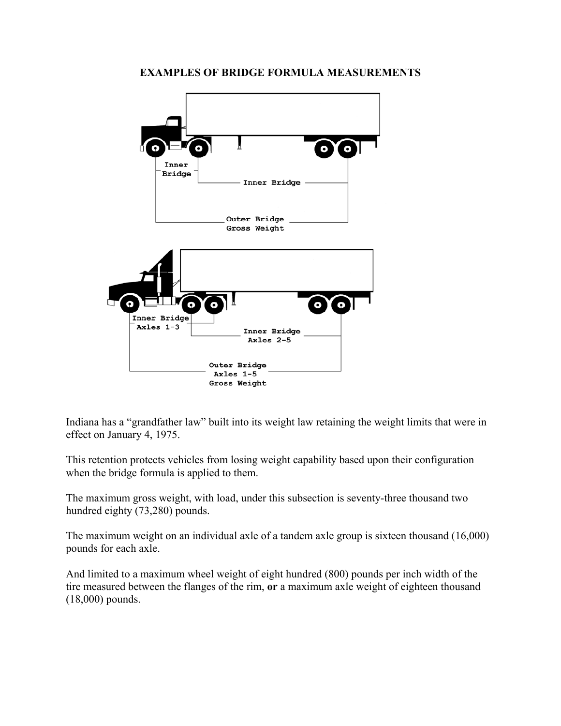# O Inner Bridge Inner Bridge Outer Bridge **Gross Weight** Inner Bridge Axles  $1-3$ Inner Bridge Axles 2-5 Outer Bridge Axles 1-5 Gross Weight

### **EXAMPLES OF BRIDGE FORMULA MEASUREMENTS**

Indiana has a "grandfather law" built into its weight law retaining the weight limits that were in effect on January 4, 1975.

This retention protects vehicles from losing weight capability based upon their configuration when the bridge formula is applied to them.

The maximum gross weight, with load, under this subsection is seventy-three thousand two hundred eighty (73,280) pounds.

The maximum weight on an individual axle of a tandem axle group is sixteen thousand (16,000) pounds for each axle.

And limited to a maximum wheel weight of eight hundred (800) pounds per inch width of the tire measured between the flanges of the rim, **or** a maximum axle weight of eighteen thousand (18,000) pounds.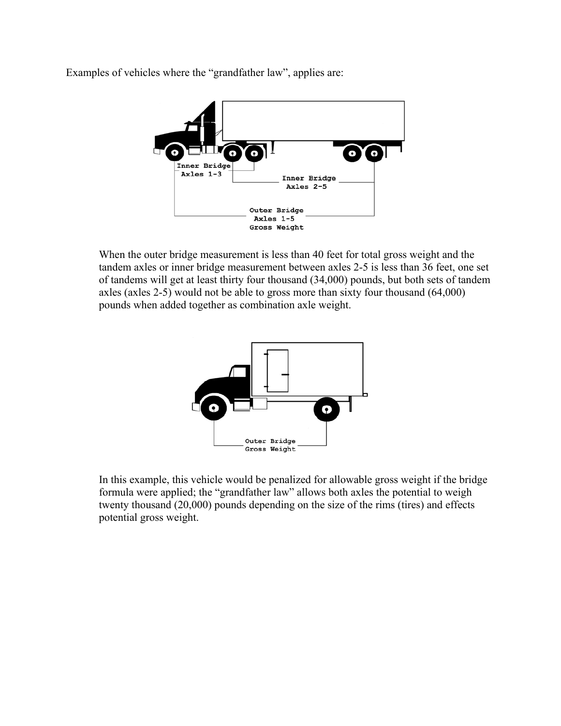Examples of vehicles where the "grandfather law", applies are:



When the outer bridge measurement is less than 40 feet for total gross weight and the tandem axles or inner bridge measurement between axles 2-5 is less than 36 feet, one set of tandems will get at least thirty four thousand (34,000) pounds, but both sets of tandem axles (axles 2-5) would not be able to gross more than sixty four thousand (64,000) pounds when added together as combination axle weight.



In this example, this vehicle would be penalized for allowable gross weight if the bridge formula were applied; the "grandfather law" allows both axles the potential to weigh twenty thousand (20,000) pounds depending on the size of the rims (tires) and effects potential gross weight.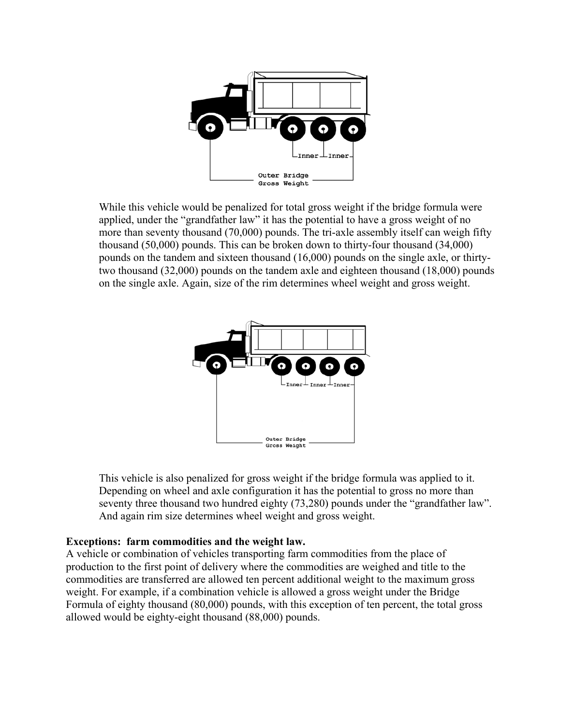

While this vehicle would be penalized for total gross weight if the bridge formula were applied, under the "grandfather law" it has the potential to have a gross weight of no more than seventy thousand (70,000) pounds. The tri-axle assembly itself can weigh fifty thousand (50,000) pounds. This can be broken down to thirty-four thousand (34,000) pounds on the tandem and sixteen thousand (16,000) pounds on the single axle, or thirtytwo thousand (32,000) pounds on the tandem axle and eighteen thousand (18,000) pounds on the single axle. Again, size of the rim determines wheel weight and gross weight.



This vehicle is also penalized for gross weight if the bridge formula was applied to it. Depending on wheel and axle configuration it has the potential to gross no more than seventy three thousand two hundred eighty (73,280) pounds under the "grandfather law". And again rim size determines wheel weight and gross weight.

### **Exceptions: farm commodities and the weight law.**

A vehicle or combination of vehicles transporting farm commodities from the place of production to the first point of delivery where the commodities are weighed and title to the commodities are transferred are allowed ten percent additional weight to the maximum gross weight. For example, if a combination vehicle is allowed a gross weight under the Bridge Formula of eighty thousand (80,000) pounds, with this exception of ten percent, the total gross allowed would be eighty-eight thousand (88,000) pounds.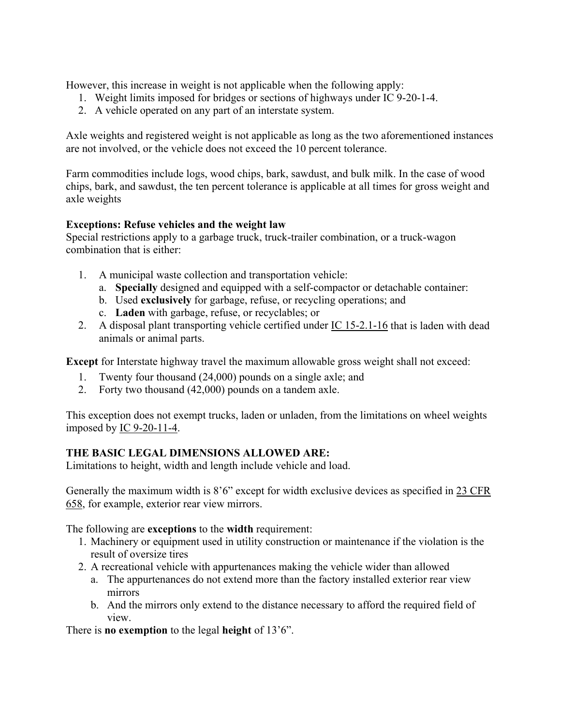However, this increase in weight is not applicable when the following apply:

- 1. Weight limits imposed for bridges or sections of highways under IC 9-20-1-4.
- 2. A vehicle operated on any part of an interstate system.

Axle weights and registered weight is not applicable as long as the two aforementioned instances are not involved, or the vehicle does not exceed the 10 percent tolerance.

Farm commodities include logs, wood chips, bark, sawdust, and bulk milk. In the case of wood chips, bark, and sawdust, the ten percent tolerance is applicable at all times for gross weight and axle weights

## **Exceptions: Refuse vehicles and the weight law**

Special restrictions apply to a garbage truck, truck-trailer combination, or a truck-wagon combination that is either:

- 1. A municipal waste collection and transportation vehicle:
	- a. **Specially** designed and equipped with a self-compactor or detachable container:
	- b. Used **exclusively** for garbage, refuse, or recycling operations; and
	- c. **Laden** with garbage, refuse, or recyclables; or
- 2. A disposal plant transporting vehicle certified under IC 15-2.1-16 that is laden with dead animals or animal parts.

**Except** for Interstate highway travel the maximum allowable gross weight shall not exceed:

- 1. Twenty four thousand (24,000) pounds on a single axle; and
- 2. Forty two thousand (42,000) pounds on a tandem axle.

This exception does not exempt trucks, laden or unladen, from the limitations on wheel weights imposed by IC 9-20-11-4.

## **THE BASIC LEGAL DIMENSIONS ALLOWED ARE:**

Limitations to height, width and length include vehicle and load.

Generally the maximum width is 8'6" except for width exclusive devices as specified in 23 CFR 658, for example, exterior rear view mirrors.

The following are **exceptions** to the **width** requirement:

- 1. Machinery or equipment used in utility construction or maintenance if the violation is the result of oversize tires
- 2. A recreational vehicle with appurtenances making the vehicle wider than allowed
	- a. The appurtenances do not extend more than the factory installed exterior rear view mirrors
	- b. And the mirrors only extend to the distance necessary to afford the required field of view.

There is **no exemption** to the legal **height** of 13'6".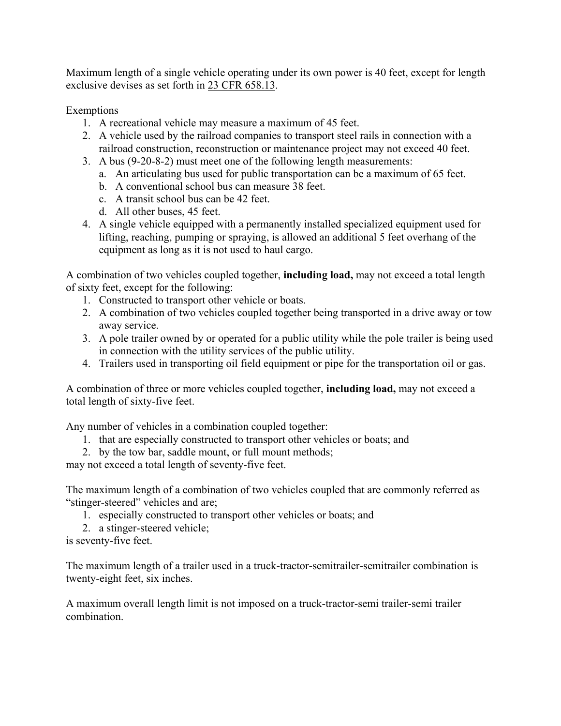Maximum length of a single vehicle operating under its own power is 40 feet, except for length exclusive devises as set forth in 23 CFR 658.13.

Exemptions

- 1. A recreational vehicle may measure a maximum of 45 feet.
- 2. A vehicle used by the railroad companies to transport steel rails in connection with a railroad construction, reconstruction or maintenance project may not exceed 40 feet.
- 3. A bus (9-20-8-2) must meet one of the following length measurements:
	- a. An articulating bus used for public transportation can be a maximum of 65 feet.
	- b. A conventional school bus can measure 38 feet.
	- c. A transit school bus can be 42 feet.
	- d. All other buses, 45 feet.
- 4. A single vehicle equipped with a permanently installed specialized equipment used for lifting, reaching, pumping or spraying, is allowed an additional 5 feet overhang of the equipment as long as it is not used to haul cargo.

A combination of two vehicles coupled together, **including load,** may not exceed a total length of sixty feet, except for the following:

- 1. Constructed to transport other vehicle or boats.
- 2. A combination of two vehicles coupled together being transported in a drive away or tow away service.
- 3. A pole trailer owned by or operated for a public utility while the pole trailer is being used in connection with the utility services of the public utility.
- 4. Trailers used in transporting oil field equipment or pipe for the transportation oil or gas.

A combination of three or more vehicles coupled together, **including load,** may not exceed a total length of sixty-five feet.

Any number of vehicles in a combination coupled together:

- 1. that are especially constructed to transport other vehicles or boats; and
- 2. by the tow bar, saddle mount, or full mount methods;

may not exceed a total length of seventy-five feet.

The maximum length of a combination of two vehicles coupled that are commonly referred as "stinger-steered" vehicles and are;

- 1. especially constructed to transport other vehicles or boats; and
- 2. a stinger-steered vehicle;

is seventy-five feet.

The maximum length of a trailer used in a truck-tractor-semitrailer-semitrailer combination is twenty-eight feet, six inches.

A maximum overall length limit is not imposed on a truck-tractor-semi trailer-semi trailer combination.